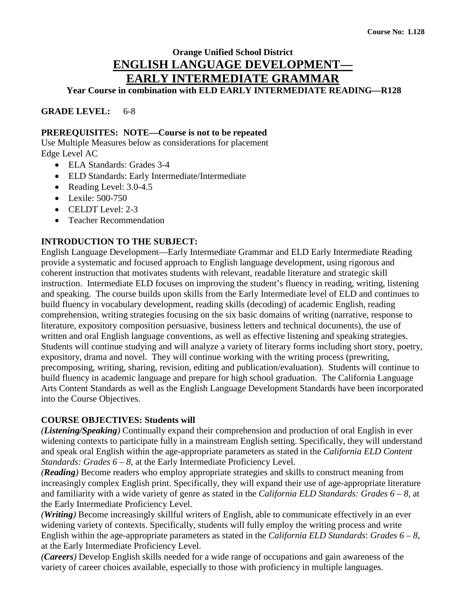# **Orange Unified School District ENGLISH LANGUAGE DEVELOPMENT— EARLY INTERMEDIATE GRAMMAR**

**Year Course in combination with ELD EARLY INTERMEDIATE READING—R128**

**GRADE LEVEL:** 6-8

#### **PREREQUISITES: NOTE—Course is not to be repeated**

Use Multiple Measures below as considerations for placement Edge Level AC

- ELA Standards: Grades 3-4
- ELD Standards: Early Intermediate/Intermediate
- Reading Level: 3.0-4.5
- Lexile: 500-750
- CELDT Level: 2-3
- Teacher Recommendation

#### **INTRODUCTION TO THE SUBJECT:**

English Language Development—Early Intermediate Grammar and ELD Early Intermediate Reading provide a systematic and focused approach to English language development, using rigorous and coherent instruction that motivates students with relevant, readable literature and strategic skill instruction. Intermediate ELD focuses on improving the student's fluency in reading, writing, listening and speaking. The course builds upon skills from the Early Intermediate level of ELD and continues to build fluency in vocabulary development, reading skills (decoding) of academic English, reading comprehension, writing strategies focusing on the six basic domains of writing (narrative, response to literature, expository composition persuasive, business letters and technical documents), the use of written and oral English language conventions, as well as effective listening and speaking strategies. Students will continue studying and will analyze a variety of literary forms including short story, poetry, expository, drama and novel. They will continue working with the writing process (prewriting, precomposing, writing, sharing, revision, editing and publication/evaluation). Students will continue to build fluency in academic language and prepare for high school graduation. The California Language Arts Content Standards as well as the English Language Development Standards have been incorporated into the Course Objectives.

#### **COURSE OBJECTIVES: Students will**

*(Listening/Speaking)* Continually expand their comprehension and production of oral English in ever widening contexts to participate fully in a mainstream English setting. Specifically, they will understand and speak oral English within the age-appropriate parameters as stated in the *California ELD Content Standards: Grades 6 – 8, at the Early Intermediate Proficiency Level.* 

*(Reading)* Become readers who employ appropriate strategies and skills to construct meaning from increasingly complex English print. Specifically, they will expand their use of age-appropriate literature and familiarity with a wide variety of genre as stated in the *California ELD Standards: Grades 6 – 8,* at the Early Intermediate Proficiency Level.

*(Writing)* Become increasingly skillful writers of English, able to communicate effectively in an ever widening variety of contexts. Specifically, students will fully employ the writing process and write English within the age-appropriate parameters as stated in the *California ELD Standards*: *Grades 6 – 8*, at the Early Intermediate Proficiency Level.

*(Careers)* Develop English skills needed for a wide range of occupations and gain awareness of the variety of career choices available, especially to those with proficiency in multiple languages.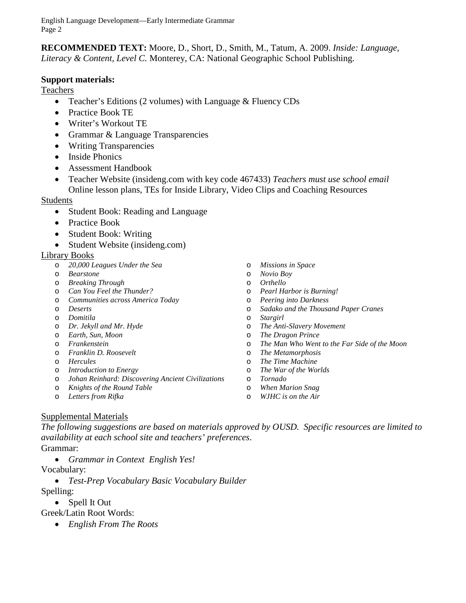English Language Development—Early Intermediate Grammar Page 2

**RECOMMENDED TEXT:** Moore, D., Short, D., Smith, M., Tatum, A. 2009. *Inside: Language, Literacy & Content, Level C.* Monterey, CA: National Geographic School Publishing.

#### **Support materials:**

Teachers

- Teacher's Editions (2 volumes) with Language & Fluency CDs
- Practice Book TE
- Writer's Workout TE
- Grammar & Language Transparencies
- Writing Transparencies
- Inside Phonics
- Assessment Handbook
- Teacher Website (insideng.com with key code 467433) *Teachers must use school email* Online lesson plans, TEs for Inside Library, Video Clips and Coaching Resources

#### **Students**

- Student Book: Reading and Language
- Practice Book
- Student Book: Writing
- Student Website (insideng.com)

#### Library Books

- o *20,000 Leagues Under the Sea*
- o *Bearstone*
- o *Breaking Through*
- o *Can You Feel the Thunder?*
- o *Communities across America Today*
- o *Deserts*
- o *Domitila*
- o *Dr. Jekyll and Mr. Hyde*
- o *Earth, Sun, Moon*
- o *Frankenstein*
- o *Franklin D. Roosevelt*
- o *Hercules*
- o *Introduction to Energy*
- o *Johan Reinhard: Discovering Ancient Civilizations*
- o *Knights of the Round Table*
- o *Letters from Rifka*
- o *Missions in Space*
- o *Novio Boy*
- o *Orthello*
- o *Pearl Harbor is Burning!*
- o *Peering into Darkness*
- o *Sadako and the Thousand Paper Cranes*
- Stargirl
- o *The Anti-Slavery Movement*
- o *The Dragon Prince*
- o *The Man Who Went to the Far Side of the Moon*
- o *The Metamorphosis*
- o *The Time Machine*
- o *The War of the Worlds*
- o *Tornado*
- o *When Marion Snag*
- o *WJHC is on the Air*

#### Supplemental Materials

*The following suggestions are based on materials approved by OUSD. Specific resources are limited to availability at each school site and teachers' preferences*.

#### Grammar:

• *Grammar in Context English Yes!*

#### Vocabulary:

• *Test-Prep Vocabulary Basic Vocabulary Builder*

#### Spelling:

• Spell It Out

#### Greek/Latin Root Words:

• *English From The Roots*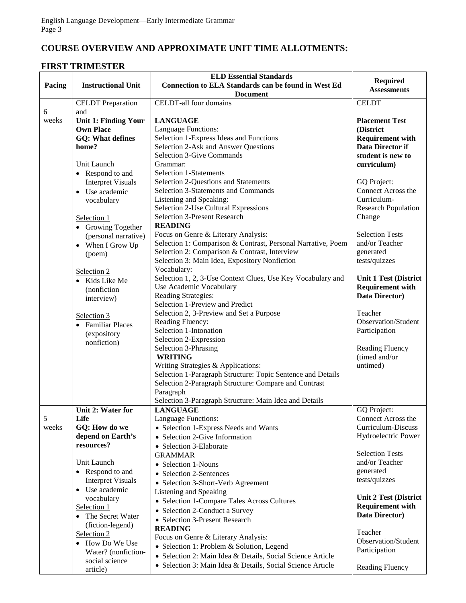# **COURSE OVERVIEW AND APPROXIMATE UNIT TIME ALLOTMENTS:**

### **FIRST TRIMESTER**

| Pacing     | <b>Instructional Unit</b>                                                                                         | <b>ELD Essential Standards</b><br>Connection to ELA Standards can be found in West Ed<br><b>Document</b>                                                                                                                                        | <b>Required</b><br><b>Assessments</b>                                                                                        |
|------------|-------------------------------------------------------------------------------------------------------------------|-------------------------------------------------------------------------------------------------------------------------------------------------------------------------------------------------------------------------------------------------|------------------------------------------------------------------------------------------------------------------------------|
|            | <b>CELDT</b> Preparation                                                                                          | <b>CELDT-all four domains</b>                                                                                                                                                                                                                   | <b>CELDT</b>                                                                                                                 |
| 6<br>weeks | and<br><b>Unit 1: Finding Your</b><br><b>Own Place</b><br><b>GQ: What defines</b><br>home?<br>Unit Launch         | <b>LANGUAGE</b><br>Language Functions:<br>Selection 1-Express Ideas and Functions<br>Selection 2-Ask and Answer Questions<br><b>Selection 3-Give Commands</b><br>Grammar:                                                                       | <b>Placement Test</b><br>(District<br><b>Requirement with</b><br><b>Data Director if</b><br>student is new to<br>curriculum) |
|            | • Respond to and<br><b>Interpret Visuals</b><br>• Use academic<br>vocabulary<br>Selection 1<br>• Growing Together | <b>Selection 1-Statements</b><br>Selection 2-Questions and Statements<br><b>Selection 3-Statements and Commands</b><br>Listening and Speaking:<br>Selection 2-Use Cultural Expressions<br><b>Selection 3-Present Research</b><br><b>READING</b> | GQ Project:<br>Connect Across the<br>Curriculum-<br><b>Research Population</b><br>Change                                     |
|            | (personal narrative)<br>• When I Grow Up<br>(poem)                                                                | Focus on Genre & Literary Analysis:<br>Selection 1: Comparison & Contrast, Personal Narrative, Poem<br>Selection 2: Comparison & Contrast, Interview<br>Selection 3: Main Idea, Expository Nonfiction                                           | <b>Selection Tests</b><br>and/or Teacher<br>generated<br>tests/quizzes                                                       |
|            | Selection 2<br>Kids Like Me<br>$\bullet$<br>(nonfiction<br>interview)                                             | Vocabulary:<br>Selection 1, 2, 3-Use Context Clues, Use Key Vocabulary and<br>Use Academic Vocabulary<br>Reading Strategies:<br>Selection 1-Preview and Predict                                                                                 | <b>Unit 1 Test (District</b><br><b>Requirement with</b><br>Data Director)                                                    |
|            | Selection 3<br>• Familiar Places<br>(expository<br>nonfiction)                                                    | Selection 2, 3-Preview and Set a Purpose<br>Reading Fluency:<br>Selection 1-Intonation<br>Selection 2-Expression<br>Selection 3-Phrasing<br><b>WRITING</b><br>Writing Strategies & Applications:                                                | Teacher<br>Observation/Student<br>Participation<br><b>Reading Fluency</b><br>(timed and/or<br>untimed)                       |
|            |                                                                                                                   | Selection 1-Paragraph Structure: Topic Sentence and Details<br>Selection 2-Paragraph Structure: Compare and Contrast<br>Paragraph<br>Selection 3-Paragraph Structure: Main Idea and Details                                                     |                                                                                                                              |
| 5<br>weeks | Unit 2: Water for<br>Life<br>GQ: How do we<br>depend on Earth's<br>resources?                                     | <b>LANGUAGE</b><br>Language Functions:<br>• Selection 1-Express Needs and Wants<br>• Selection 2-Give Information<br>• Selection 3-Elaborate                                                                                                    | GQ Project:<br>Connect Across the<br>Curriculum-Discuss<br>Hydroelectric Power                                               |
|            | Unit Launch<br>• Respond to and<br><b>Interpret Visuals</b><br>• Use academic                                     | <b>GRAMMAR</b><br>• Selection 1-Nouns<br>• Selection 2-Sentences<br>• Selection 3-Short-Verb Agreement                                                                                                                                          | <b>Selection Tests</b><br>and/or Teacher<br>generated<br>tests/quizzes                                                       |
|            | vocabulary<br>Selection 1<br>The Secret Water<br>(fiction-legend)                                                 | Listening and Speaking<br>• Selection 1-Compare Tales Across Cultures<br>• Selection 2-Conduct a Survey<br>• Selection 3-Present Research<br><b>READING</b>                                                                                     | <b>Unit 2 Test (District</b><br><b>Requirement with</b><br>Data Director)                                                    |
|            | Selection 2<br>How Do We Use<br>$\bullet$<br>Water? (nonfiction-<br>social science                                | Focus on Genre & Literary Analysis:<br>• Selection 1: Problem & Solution, Legend<br>· Selection 2: Main Idea & Details, Social Science Article                                                                                                  | Teacher<br>Observation/Student<br>Participation                                                                              |
|            | article)                                                                                                          | · Selection 3: Main Idea & Details, Social Science Article                                                                                                                                                                                      | Reading Fluency                                                                                                              |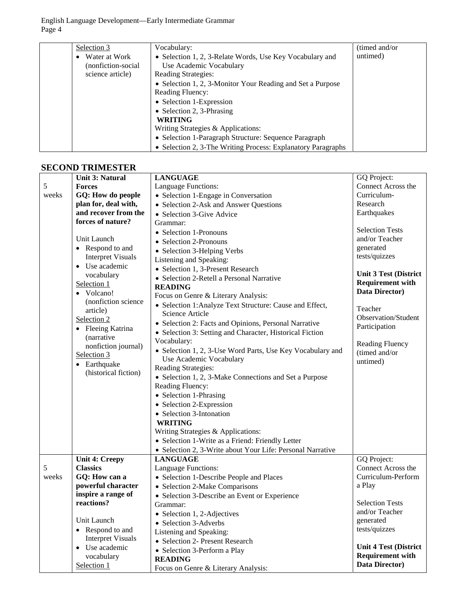English Language Development—Early Intermediate Grammar Page 4

| Selection 3                | Vocabulary:                                                  | (timed and/or) |
|----------------------------|--------------------------------------------------------------|----------------|
| Water at Work<br>$\bullet$ | • Selection 1, 2, 3-Relate Words, Use Key Vocabulary and     | untimed)       |
| (nonfiction-social)        | Use Academic Vocabulary                                      |                |
| science article)           | Reading Strategies:                                          |                |
|                            | • Selection 1, 2, 3-Monitor Your Reading and Set a Purpose   |                |
|                            | <b>Reading Fluency:</b>                                      |                |
|                            | • Selection 1-Expression                                     |                |
|                            | • Selection 2, 3-Phrasing                                    |                |
|                            | <b>WRITING</b>                                               |                |
|                            | Writing Strategies & Applications:                           |                |
|                            | • Selection 1-Paragraph Structure: Sequence Paragraph        |                |
|                            | • Selection 2, 3-The Writing Process: Explanatory Paragraphs |                |

## **SECOND TRIMESTER**

|       | <b>Unit 3: Natural</b>       | <b>LANGUAGE</b>                                            | GQ Project:                  |
|-------|------------------------------|------------------------------------------------------------|------------------------------|
| 5     | <b>Forces</b>                | Language Functions:                                        | Connect Across the           |
| weeks | GQ: How do people            | • Selection 1-Engage in Conversation                       | Curriculum-                  |
|       | plan for, deal with,         | • Selection 2-Ask and Answer Questions                     | Research                     |
|       | and recover from the         | • Selection 3-Give Advice                                  | Earthquakes                  |
|       | forces of nature?            | Grammar:                                                   |                              |
|       |                              | • Selection 1-Pronouns                                     | <b>Selection Tests</b>       |
|       | Unit Launch                  | • Selection 2-Pronouns                                     | and/or Teacher               |
|       | • Respond to and             | • Selection 3-Helping Verbs                                | generated                    |
|       | <b>Interpret Visuals</b>     | Listening and Speaking:                                    | tests/quizzes                |
|       | • Use academic               | • Selection 1, 3-Present Research                          |                              |
|       | vocabulary                   | • Selection 2-Retell a Personal Narrative                  | <b>Unit 3 Test (District</b> |
|       | Selection 1                  | <b>READING</b>                                             | <b>Requirement with</b>      |
|       | Volcano!<br>$\bullet$        | Focus on Genre & Literary Analysis:                        | Data Director)               |
|       | (nonfiction science          | • Selection 1: Analyze Text Structure: Cause and Effect,   | Teacher                      |
|       | article)                     | Science Article                                            | Observation/Student          |
|       | Selection 2                  | • Selection 2: Facts and Opinions, Personal Narrative      | Participation                |
|       | Fleeing Katrina<br>$\bullet$ | • Selection 3: Setting and Character, Historical Fiction   |                              |
|       | (narrative                   | Vocabulary:                                                | <b>Reading Fluency</b>       |
|       | nonfiction journal)          | • Selection 1, 2, 3-Use Word Parts, Use Key Vocabulary and | (timed and/or                |
|       | Selection 3                  | Use Academic Vocabulary                                    | untimed)                     |
|       | Earthquake<br>$\bullet$      | Reading Strategies:                                        |                              |
|       | (historical fiction)         | • Selection 1, 2, 3-Make Connections and Set a Purpose     |                              |
|       |                              | Reading Fluency:                                           |                              |
|       |                              | • Selection 1-Phrasing                                     |                              |
|       |                              | • Selection 2-Expression                                   |                              |
|       |                              | • Selection 3-Intonation                                   |                              |
|       |                              | <b>WRITING</b>                                             |                              |
|       |                              | Writing Strategies & Applications:                         |                              |
|       |                              | • Selection 1-Write as a Friend: Friendly Letter           |                              |
|       |                              | • Selection 2, 3-Write about Your Life: Personal Narrative |                              |
|       | <b>Unit 4: Creepy</b>        | <b>LANGUAGE</b>                                            | GQ Project:                  |
| 5     | <b>Classics</b>              | Language Functions:                                        | Connect Across the           |
| weeks | GQ: How can a                | • Selection 1-Describe People and Places                   | Curriculum-Perform           |
|       | powerful character           | • Selection 2-Make Comparisons                             | a Play                       |
|       | inspire a range of           | • Selection 3-Describe an Event or Experience              |                              |
|       | reactions?                   | Grammar:                                                   | <b>Selection Tests</b>       |
|       |                              | Selection 1, 2-Adjectives                                  | and/or Teacher               |
|       | Unit Launch                  | • Selection 3-Adverbs                                      | generated                    |
|       | Respond to and<br>$\bullet$  | Listening and Speaking:                                    | tests/quizzes                |
|       | <b>Interpret Visuals</b>     | • Selection 2- Present Research                            |                              |
|       | Use academic<br>$\bullet$    | • Selection 3-Perform a Play                               | <b>Unit 4 Test (District</b> |
|       | vocabulary                   | <b>READING</b>                                             | <b>Requirement with</b>      |
|       | Selection 1                  | Focus on Genre & Literary Analysis:                        | Data Director)               |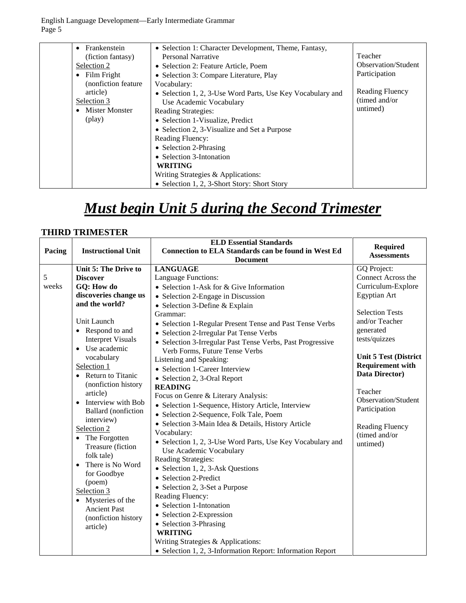English Language Development—Early Intermediate Grammar Page 5

| Frankenstein<br>$\bullet$ | • Selection 1: Character Development, Theme, Fantasy,      |                            |
|---------------------------|------------------------------------------------------------|----------------------------|
| (fiction fantasy)         | Personal Narrative                                         | Teacher                    |
| Selection 2               | • Selection 2: Feature Article, Poem                       | <b>Observation/Student</b> |
| Film Fright<br>$\bullet$  | • Selection 3: Compare Literature, Play                    | Participation              |
| (nonfiction feature)      | Vocabulary:                                                |                            |
| article)                  | • Selection 1, 2, 3-Use Word Parts, Use Key Vocabulary and | Reading Fluency            |
| Selection 3               | Use Academic Vocabulary                                    | (timed and/or              |
| <b>Mister Monster</b>     | <b>Reading Strategies:</b>                                 | untimed)                   |
| (play)                    | • Selection 1-Visualize, Predict                           |                            |
|                           | • Selection 2, 3-Visualize and Set a Purpose               |                            |
|                           | <b>Reading Fluency:</b>                                    |                            |
|                           | • Selection 2-Phrasing                                     |                            |
|                           | • Selection 3-Intonation                                   |                            |
|                           | <b>WRITING</b>                                             |                            |
|                           | Writing Strategies & Applications:                         |                            |
|                           | • Selection 1, 2, 3-Short Story: Short Story               |                            |

# *Must begin Unit 5 during the Second Trimester*

#### **THIRD TRIMESTER**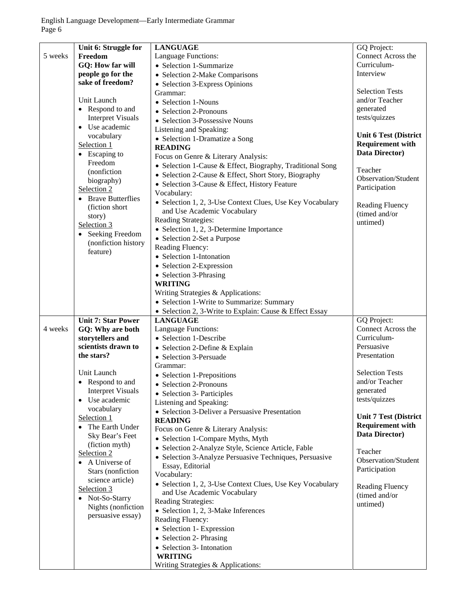|         | Unit 6: Struggle for      | <b>LANGUAGE</b>                                           | GQ Project:                  |
|---------|---------------------------|-----------------------------------------------------------|------------------------------|
| 5 weeks | Freedom                   | Language Functions:                                       | Connect Across the           |
|         | GQ: How far will          | • Selection 1-Summarize                                   | Curriculum-                  |
|         | people go for the         | • Selection 2-Make Comparisons                            | Interview                    |
|         | sake of freedom?          | • Selection 3-Express Opinions                            |                              |
|         |                           | Grammar:                                                  | <b>Selection Tests</b>       |
|         | Unit Launch               | • Selection 1-Nouns                                       | and/or Teacher               |
|         | • Respond to and          |                                                           | generated                    |
|         | <b>Interpret Visuals</b>  | • Selection 2-Pronouns                                    | tests/quizzes                |
|         |                           | • Selection 3-Possessive Nouns                            |                              |
|         | Use academic<br>$\bullet$ | Listening and Speaking:                                   |                              |
|         | vocabulary                | • Selection 1-Dramatize a Song                            | <b>Unit 6 Test (District</b> |
|         | Selection 1               | <b>READING</b>                                            | <b>Requirement with</b>      |
|         | • Escaping to             | Focus on Genre & Literary Analysis:                       | Data Director)               |
|         | Freedom                   |                                                           |                              |
|         | (nonfiction)              | • Selection 1-Cause & Effect, Biography, Traditional Song | Teacher                      |
|         | biography)                | • Selection 2-Cause & Effect, Short Story, Biography      | Observation/Student          |
|         | Selection 2               | • Selection 3-Cause & Effect, History Feature             | Participation                |
|         |                           | Vocabulary:                                               |                              |
|         | • Brave Butterflies       | • Selection 1, 2, 3-Use Context Clues, Use Key Vocabulary |                              |
|         | (fiction short            | and Use Academic Vocabulary                               | Reading Fluency              |
|         | story)                    | <b>Reading Strategies:</b>                                | (timed and/or                |
|         | Selection 3               |                                                           | untimed)                     |
|         | • Seeking Freedom         | • Selection 1, 2, 3-Determine Importance                  |                              |
|         | (nonfiction history       | • Selection 2-Set a Purpose                               |                              |
|         | feature)                  | Reading Fluency:                                          |                              |
|         |                           | • Selection 1-Intonation                                  |                              |
|         |                           | • Selection 2-Expression                                  |                              |
|         |                           | • Selection 3-Phrasing                                    |                              |
|         |                           | <b>WRITING</b>                                            |                              |
|         |                           | Writing Strategies & Applications:                        |                              |
|         |                           |                                                           |                              |
|         |                           | • Selection 1-Write to Summarize: Summary                 |                              |
|         |                           | • Selection 2, 3-Write to Explain: Cause & Effect Essay   |                              |
|         | <b>Unit 7: Star Power</b> | <b>LANGUAGE</b>                                           | GQ Project:                  |
| 4 weeks | GQ: Why are both          | Language Functions:                                       | Connect Across the           |
|         | storytellers and          | • Selection 1-Describe                                    | Curriculum-                  |
|         | scientists drawn to       | • Selection 2-Define & Explain                            | Persuasive                   |
|         | the stars?                | • Selection 3-Persuade                                    | Presentation                 |
|         |                           | Grammar:                                                  |                              |
|         | Unit Launch               |                                                           | <b>Selection Tests</b>       |
|         |                           | • Selection 1-Prepositions                                | and/or Teacher               |
|         | Respond to and            | • Selection 2-Pronouns                                    |                              |
|         | <b>Interpret Visuals</b>  | • Selection 3- Participles                                | generated                    |
|         | • Use academic            | Listening and Speaking:                                   | tests/quizzes                |
|         | vocabulary                | • Selection 3-Deliver a Persuasive Presentation           |                              |
|         | Selection 1               | <b>READING</b>                                            | <b>Unit 7 Test (District</b> |
|         | • The Earth Under         | Focus on Genre & Literary Analysis:                       | <b>Requirement with</b>      |
|         | Sky Bear's Feet           | • Selection 1-Compare Myths, Myth                         | Data Director)               |
|         | (fiction myth)            |                                                           |                              |
|         | Selection 2               | · Selection 2-Analyze Style, Science Article, Fable       | Teacher                      |
|         | • A Universe of           | • Selection 3-Analyze Persuasive Techniques, Persuasive   | Observation/Student          |
|         |                           | Essay, Editorial                                          | Participation                |
|         | Stars (nonfiction         | Vocabulary:                                               |                              |
|         | science article)          | • Selection 1, 2, 3-Use Context Clues, Use Key Vocabulary | <b>Reading Fluency</b>       |
|         | Selection 3               | and Use Academic Vocabulary                               | (timed and/or                |
|         | • Not-So-Starry           | Reading Strategies:                                       |                              |
|         | Nights (nonfiction        | • Selection 1, 2, 3-Make Inferences                       | untimed)                     |
|         | persuasive essay)         | Reading Fluency:                                          |                              |
|         |                           |                                                           |                              |
|         |                           | • Selection 1- Expression                                 |                              |
|         |                           | • Selection 2- Phrasing                                   |                              |
|         |                           | • Selection 3- Intonation                                 |                              |
|         |                           | <b>WRITING</b>                                            |                              |
|         |                           | Writing Strategies & Applications:                        |                              |